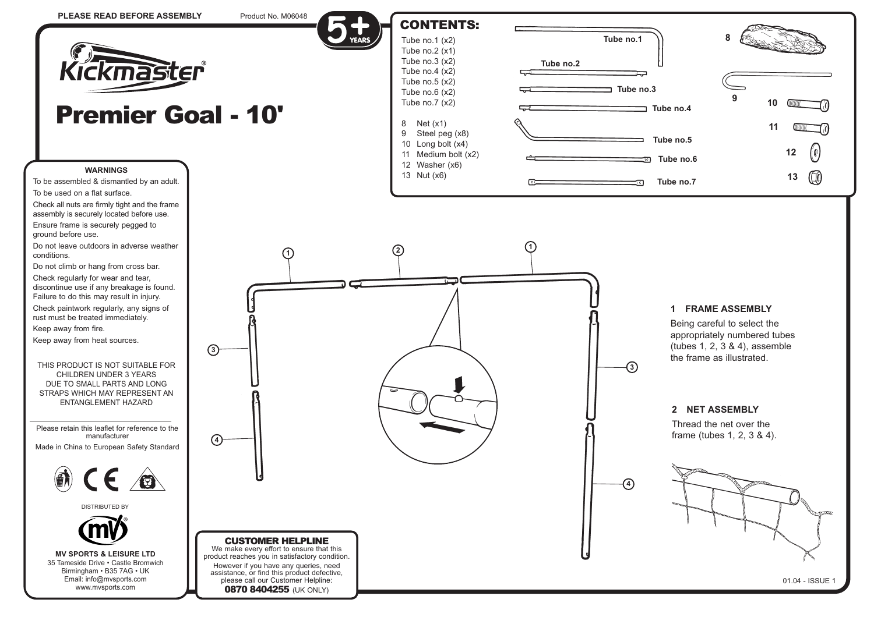